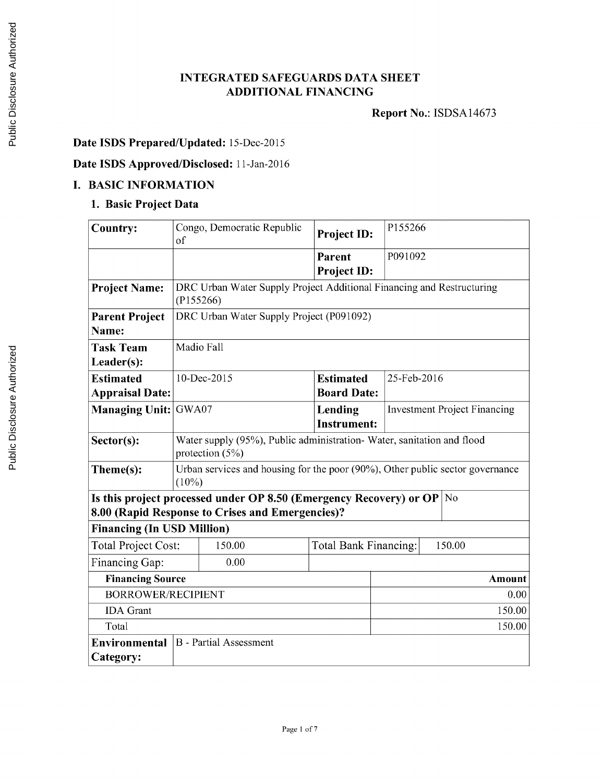### **INTEGRATED SAFEGUARDS DATA SHEET ADDITIONAL FINANCING**

**Report** No.: **ISDSA14673**

# **Date ISDS Prepared/Updated:** 15-Dec-2015

## **Date ISDS Approved/Disclosed:** 11-Jan-2016

## **I. BASIC INFORMATION**

### **1. Basic Project Data**

| <b>Country:</b>                   | Congo, Democratic Republic<br>of                                                           | Project ID:           | P155266                             |  |
|-----------------------------------|--------------------------------------------------------------------------------------------|-----------------------|-------------------------------------|--|
|                                   |                                                                                            | Parent                | P091092                             |  |
|                                   |                                                                                            | <b>Project ID:</b>    |                                     |  |
| <b>Project Name:</b>              | DRC Urban Water Supply Project Additional Financing and Restructuring                      |                       |                                     |  |
|                                   | (P155266)                                                                                  |                       |                                     |  |
| <b>Parent Project</b>             | DRC Urban Water Supply Project (P091092)                                                   |                       |                                     |  |
| Name:                             |                                                                                            |                       |                                     |  |
| <b>Task Team</b>                  | Madio Fall                                                                                 |                       |                                     |  |
| Leader(s):                        |                                                                                            |                       |                                     |  |
| <b>Estimated</b>                  | 10-Dec-2015                                                                                | <b>Estimated</b>      | 25-Feb-2016                         |  |
| <b>Appraisal Date:</b>            |                                                                                            | <b>Board Date:</b>    |                                     |  |
| <b>Managing Unit:</b>             | GWA07                                                                                      | Lending               | <b>Investment Project Financing</b> |  |
|                                   |                                                                                            | <b>Instrument:</b>    |                                     |  |
| Sector(s):                        | Water supply (95%), Public administration-Water, sanitation and flood<br>protection $(5%)$ |                       |                                     |  |
| Theme(s):                         | Urban services and housing for the poor (90%), Other public sector governance<br>$(10\%)$  |                       |                                     |  |
|                                   | Is this project processed under OP 8.50 (Emergency Recovery) or OP $ No $                  |                       |                                     |  |
|                                   | 8.00 (Rapid Response to Crises and Emergencies)?                                           |                       |                                     |  |
| <b>Financing (In USD Million)</b> |                                                                                            |                       |                                     |  |
| <b>Total Project Cost:</b>        | 150.00                                                                                     | Total Bank Financing: | 150.00                              |  |
| Financing Gap:                    | 0.00                                                                                       |                       |                                     |  |
| <b>Financing Source</b>           |                                                                                            |                       | Amount                              |  |
| <b>BORROWER/RECIPIENT</b>         |                                                                                            |                       | 0.00                                |  |
| <b>IDA</b> Grant                  |                                                                                            |                       | 150.00                              |  |
| Total                             |                                                                                            |                       | 150.00                              |  |
| Environmental                     | <b>B</b> - Partial Assessment                                                              |                       |                                     |  |
| Category:                         |                                                                                            |                       |                                     |  |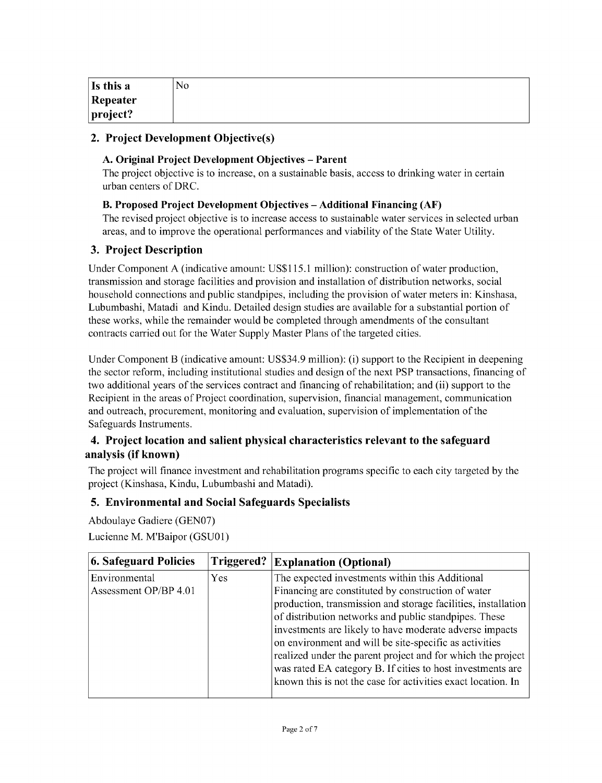| Is this a        | N <sub>0</sub> |
|------------------|----------------|
| Repeater         |                |
| $ $ project? $ $ |                |

### **2. Project Development Objective(s)**

#### **A. Original Project Development Objectives - Parent**

The project objective is to increase, on a sustainable basis, access to drinking water in certain urban centers of DRC.

#### B. **Proposed Project Development Objectives - Additional Financing (AF)**

The revised project objective is to increase access to sustainable water services in selected urban areas, and to improve the operational performances and viability of the State Water Utility.

### **3. Project Description**

Under Component **A** (indicative amount: **US\$115.1** million): construction of water production, transmission and storage facilities and provision and installation of distribution networks, social household connections and public standpipes, including the provision of water meters in: Kinshasa, Lubumbashi, Matadi and Kindu. Detailed design studies are available for a substantial portion of these works, while the remainder would be completed through amendments of the consultant contracts carried out for the Water Supply Master Plans of the targeted cities.

Under Component B (indicative amount: **US\$34.9** million): (i) support to the Recipient in deepening the sector reform, including institutional studies and design of the next PSP transactions, financing of two additional years of the services contract and financing of rehabilitation; and (ii) support to the Recipient in the areas of Project coordination, supervision, financial management, communication and outreach, procurement, monitoring and evaluation, supervision of implementation of the Safeguards Instruments.

### **4. Project location and salient physical characteristics relevant to the safeguard analysis (if known)**

The project will finance investment and rehabilitation programs specific to each city targeted **by** the project (Kinshasa, Kindu, Lubumbashi and Matadi).

### **5. Environmental and Social Safeguards Specialists**

Abdoulaye Gadiere **(GENO7)** Lucienne M. M'Baipor **(GSUO1)**

| <b>6. Safeguard Policies</b> | Triggered? | <b>Explanation (Optional)</b>                                 |
|------------------------------|------------|---------------------------------------------------------------|
| Environmental                | <b>Yes</b> | The expected investments within this Additional               |
| Assessment OP/BP 4.01        |            | Financing are constituted by construction of water            |
|                              |            | production, transmission and storage facilities, installation |
|                              |            | of distribution networks and public standpipes. These         |
|                              |            | investments are likely to have moderate adverse impacts       |
|                              |            | on environment and will be site-specific as activities        |
|                              |            | realized under the parent project and for which the project   |
|                              |            | was rated EA category B. If cities to host investments are    |
|                              |            | known this is not the case for activities exact location. In  |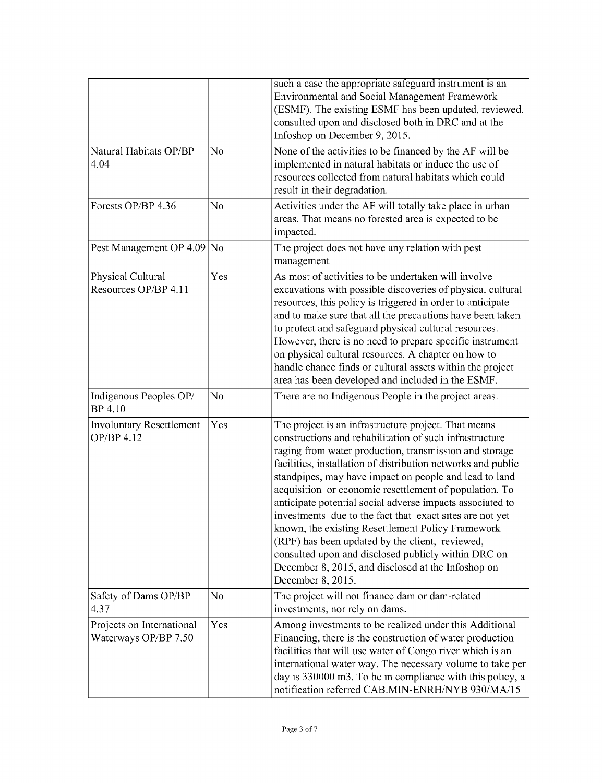|                                                   |                | such a case the appropriate safeguard instrument is an<br>Environmental and Social Management Framework<br>(ESMF). The existing ESMF has been updated, reviewed,<br>consulted upon and disclosed both in DRC and at the<br>Infoshop on December 9, 2015.                                                                                                                                                                                                                                                                                                                                                                                                                                                                         |  |
|---------------------------------------------------|----------------|----------------------------------------------------------------------------------------------------------------------------------------------------------------------------------------------------------------------------------------------------------------------------------------------------------------------------------------------------------------------------------------------------------------------------------------------------------------------------------------------------------------------------------------------------------------------------------------------------------------------------------------------------------------------------------------------------------------------------------|--|
| Natural Habitats OP/BP<br>4.04                    | No             | None of the activities to be financed by the AF will be<br>implemented in natural habitats or induce the use of<br>resources collected from natural habitats which could<br>result in their degradation.                                                                                                                                                                                                                                                                                                                                                                                                                                                                                                                         |  |
| Forests OP/BP 4.36                                | N <sub>0</sub> | Activities under the AF will totally take place in urban<br>areas. That means no forested area is expected to be<br>impacted.                                                                                                                                                                                                                                                                                                                                                                                                                                                                                                                                                                                                    |  |
| Pest Management OP 4.09                           | No             | The project does not have any relation with pest<br>management                                                                                                                                                                                                                                                                                                                                                                                                                                                                                                                                                                                                                                                                   |  |
| Physical Cultural<br>Resources OP/BP 4.11         | Yes            | As most of activities to be undertaken will involve<br>excavations with possible discoveries of physical cultural<br>resources, this policy is triggered in order to anticipate<br>and to make sure that all the precautions have been taken<br>to protect and safeguard physical cultural resources.<br>However, there is no need to prepare specific instrument<br>on physical cultural resources. A chapter on how to<br>handle chance finds or cultural assets within the project<br>area has been developed and included in the ESMF.                                                                                                                                                                                       |  |
| Indigenous Peoples OP/<br>BP 4.10                 | No             | There are no Indigenous People in the project areas.                                                                                                                                                                                                                                                                                                                                                                                                                                                                                                                                                                                                                                                                             |  |
| <b>Involuntary Resettlement</b><br>OP/BP 4.12     | Yes            | The project is an infrastructure project. That means<br>constructions and rehabilitation of such infrastructure<br>raging from water production, transmission and storage<br>facilities, installation of distribution networks and public<br>standpipes, may have impact on people and lead to land<br>acquisition or economic resettlement of population. To<br>anticipate potential social adverse impacts associated to<br>investments due to the fact that exact sites are not yet<br>known, the existing Resettlement Policy Framework<br>(RPF) has been updated by the client, reviewed,<br>consulted upon and disclosed publicly within DRC on<br>December 8, 2015, and disclosed at the Infoshop on<br>December 8, 2015. |  |
| Safety of Dams OP/BP<br>4.37                      | N <sub>o</sub> | The project will not finance dam or dam-related<br>investments, nor rely on dams.                                                                                                                                                                                                                                                                                                                                                                                                                                                                                                                                                                                                                                                |  |
| Projects on International<br>Waterways OP/BP 7.50 | Yes            | Among investments to be realized under this Additional<br>Financing, there is the construction of water production<br>facilities that will use water of Congo river which is an<br>international water way. The necessary volume to take per<br>day is 330000 m3. To be in compliance with this policy, a<br>notification referred CAB.MIN-ENRH/NYB 930/MA/15                                                                                                                                                                                                                                                                                                                                                                    |  |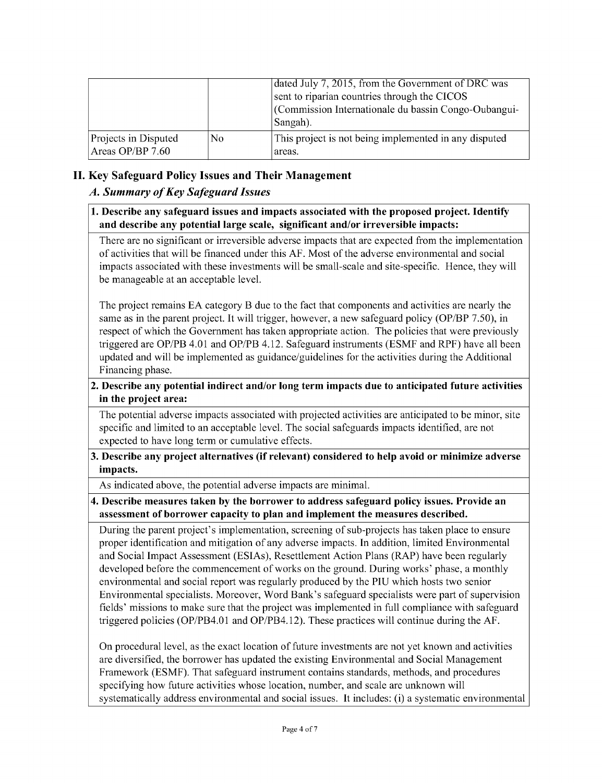|                                          |     | dated July 7, 2015, from the Government of DRC was<br>sent to riparian countries through the CICOS<br>(Commission Internationale du bassin Congo-Oubangui-<br>Sangah). |
|------------------------------------------|-----|------------------------------------------------------------------------------------------------------------------------------------------------------------------------|
| Projects in Disputed<br>Areas OP/BP 7.60 | No. | This project is not being implemented in any disputed<br>areas.                                                                                                        |

## **II. Key Safeguard Policy Issues and Their Management**

### *A. Summary of Key Safeguard Issues*

#### **1. Describe any safeguard issues and impacts associated with the proposed project. Identify and describe any potential large scale, significant and/or irreversible impacts:**

There are no significant or irreversible adverse impacts that are expected from the implementation of activities that will be financed under this **AF.** Most of the adverse environmental and social impacts associated with these investments will be small-scale and site-specific. Hence, they will be manageable at an acceptable level.

The project remains **EA** category B due to the fact that components and activities are nearly the same as in the parent project. It will trigger, however, a new safeguard policy (OP/BP *7.50),* in respect of which the Government has taken appropriate action. The policies that were previously triggered are OP/PB 4.01 and OP/PB 4.12. Safeguard instruments **(ESMF** and RPF) have all been updated and will be implemented as guidance/guidelines for the activities during the Additional Financing phase.

### **2. Describe any potential indirect and/or long term impacts due to anticipated future activities in the project area:**

The potential adverse impacts associated with projected activities are anticipated to be minor, site specific and limited to an acceptable level. The social safeguards impacts identified, are not expected to have long term or cumulative effects.

#### **3. Describe any project alternatives (if relevant) considered to help avoid or minimize adverse impacts.**

As indicated above, the potential adverse impacts are minimal.

### **4. Describe measures taken by the borrower to address safeguard policy issues. Provide an assessment of borrower capacity to plan and implement the measures described.**

During the parent project's implementation, screening of sub-projects has taken place to ensure proper identification and mitigation of any adverse impacts. In addition, limited Environmental and Social Impact Assessment (ESIAs), Resettlement Action Plans (RAP) have been regularly developed before the commencement of works on the ground. During works' phase, a monthly environmental and social report was regularly produced **by** the **PIU** which hosts two senior Environmental specialists. Moreover, Word Bank's safeguard specialists were part of supervision fields' missions to make sure that the project was implemented in full compliance with safeguard triggered policies (OP/PB4.01 and OP/PB4.12). These practices will continue during the **AF.**

On procedural level, as the exact location of future investments are not yet known and activities are diversified, the borrower has updated the existing Environmental and Social Management Framework **(ESMF).** That safeguard instrument contains standards, methods, and procedures specifying how future activities whose location, number, and scale are unknown will systematically address environmental and social issues. It includes: (i) a systematic environmental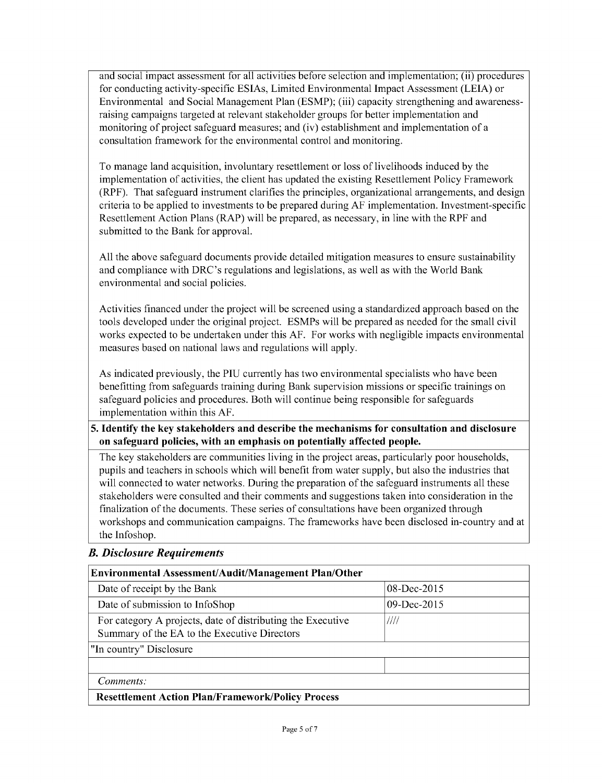and social impact assessment for all activities before selection and implementation; (ii) procedures for conducting activity-specific ESIAs, Limited Environmental Impact Assessment **(LEIA)** or Environmental and Social Management Plan **(ESMP);** (iii) capacity strengthening and awarenessraising campaigns targeted at relevant stakeholder groups for better implementation and monitoring of project safeguard measures; and (iv) establishment and implementation of a consultation framework for the environmental control and monitoring.

To manage land acquisition, involuntary resettlement or loss of livelihoods induced **by** the implementation of activities, the client has updated the existing Resettlement Policy Framework (RPF). That safeguard instrument clarifies the principles, organizational arrangements, and design criteria to be applied to investments to be prepared during **AF** implementation. Investment-specific Resettlement Action Plans (RAP) will be prepared, as necessary, in line with the RPF and submitted to the Bank for approval.

**All** the above safeguard documents provide detailed mitigation measures to ensure sustainability and compliance with DRC's regulations and legislations, as well as with the World Bank environmental and social policies.

Activities financed under the project will be screened using a standardized approach based on the tools developed under the original project. ESMPs will be prepared as needed for the small civil works expected to be undertaken under this **AF.** For works with negligible impacts environmental measures based on national laws and regulations will apply.

As indicated previously, the **PIU** currently has two environmental specialists who have been benefitting from safeguards training during Bank supervision missions or specific trainings on safeguard policies and procedures. Both will continue being responsible for safeguards implementation within this **AF.**

*5.* **Identify the key stakeholders and describe the mechanisms for consultation and disclosure on safeguard policies, with an emphasis on potentially affected people.**

The key stakeholders are communities living in the project areas, particularly poor households, pupils and teachers in schools which will benefit from water supply, but also the industries that will connected to water networks. During the preparation of the safeguard instruments all these stakeholders were consulted and their comments and suggestions taken into consideration in the finalization of the documents. These series of consultations have been organized through workshops and communication campaigns. The frameworks have been disclosed in-country and at the Infoshop.

| Environmental Assessment/Audit/Management Plan/Other                                                        |                |  |  |
|-------------------------------------------------------------------------------------------------------------|----------------|--|--|
| Date of receipt by the Bank                                                                                 | 08-Dec-2015    |  |  |
| Date of submission to InfoShop                                                                              | $09$ -Dec-2015 |  |  |
| For category A projects, date of distributing the Executive<br>Summary of the EA to the Executive Directors | ////           |  |  |
| "In country" Disclosure                                                                                     |                |  |  |
|                                                                                                             |                |  |  |
| Comments:                                                                                                   |                |  |  |
| <b>Resettlement Action Plan/Framework/Policy Process</b>                                                    |                |  |  |

#### *B. Disclosure Requirements*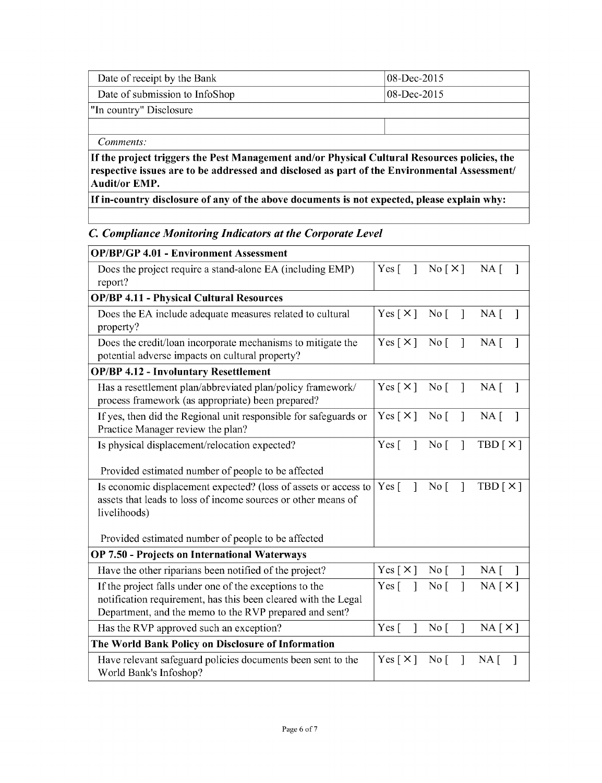| Date of receipt by the Bank                                                                                                                                                                                          | $08$ -Dec-2015 |  |  |
|----------------------------------------------------------------------------------------------------------------------------------------------------------------------------------------------------------------------|----------------|--|--|
| Date of submission to InfoShop                                                                                                                                                                                       | $08$ -Dec-2015 |  |  |
| "In country" Disclosure                                                                                                                                                                                              |                |  |  |
|                                                                                                                                                                                                                      |                |  |  |
| Comments:                                                                                                                                                                                                            |                |  |  |
| If the project triggers the Pest Management and/or Physical Cultural Resources policies, the<br>respective issues are to be addressed and disclosed as part of the Environmental Assessment/<br><b>Audit/or EMP.</b> |                |  |  |

**If in-country disclosure of any of the above documents is not expected, please explain why:**

# *C. Compliance Monitoring Indicators at the Corporate Level*

| <b>OP/BP/GP 4.01 - Environment Assessment</b>                                                                                                                                                          |                              |                                   |                             |
|--------------------------------------------------------------------------------------------------------------------------------------------------------------------------------------------------------|------------------------------|-----------------------------------|-----------------------------|
| Does the project require a stand-alone EA (including EMP)<br>report?                                                                                                                                   | $Yes \lceil$<br>$\mathbf{1}$ | No[X]                             | $NA \lceil$                 |
| <b>OP/BP 4.11 - Physical Cultural Resources</b>                                                                                                                                                        |                              |                                   |                             |
| Does the EA include adequate measures related to cultural<br>property?                                                                                                                                 | Yes $\lceil \times \rceil$   | No <sub>1</sub><br>$\mathbf{I}$   | $NA \lceil$                 |
| Does the credit/loan incorporate mechanisms to mitigate the<br>potential adverse impacts on cultural property?                                                                                         | Yes $\lceil \times \rceil$   | No <sub>1</sub><br>$\mathbf{I}$   | $NA \lceil$                 |
| <b>OP/BP 4.12 - Involuntary Resettlement</b>                                                                                                                                                           |                              |                                   |                             |
| Has a resettlement plan/abbreviated plan/policy framework/<br>process framework (as appropriate) been prepared?                                                                                        | Yes $\lceil \times \rceil$   | No <sub>1</sub><br>$\overline{1}$ | $NA \lceil$<br>$\mathbf{I}$ |
| If yes, then did the Regional unit responsible for safeguards or<br>Practice Manager review the plan?                                                                                                  | Yes $[\times]$               | No <sub>1</sub><br>$\mathbf{I}$   | $NA$ [                      |
| Is physical displacement/relocation expected?<br>Provided estimated number of people to be affected                                                                                                    | $Yes \lceil$<br>$\mathbf{1}$ | No <sub>1</sub><br>$\mathbf{I}$   | TBD[X]                      |
| Is economic displacement expected? (loss of assets or access to<br>assets that leads to loss of income sources or other means of<br>livelihoods)<br>Provided estimated number of people to be affected |                              | No <sub>1</sub><br>$\mathbf{I}$   | TBD[X]                      |
| OP 7.50 - Projects on International Waterways                                                                                                                                                          |                              |                                   |                             |
| Have the other riparians been notified of the project?                                                                                                                                                 | Yes $\lceil \times \rceil$   | No <sub>1</sub><br>1              | $NA \lceil$                 |
| If the project falls under one of the exceptions to the<br>notification requirement, has this been cleared with the Legal<br>Department, and the memo to the RVP prepared and sent?                    | Yes $\lceil$<br>$\mathbf{1}$ | $\mathbf{I}$<br>No <sub>1</sub>   | NA[X]                       |
| Has the RVP approved such an exception?                                                                                                                                                                | Yes $\lceil$<br>1            | No <sub>1</sub><br>$\mathsf{I}$   | NA[X]                       |
| The World Bank Policy on Disclosure of Information                                                                                                                                                     |                              |                                   |                             |
| Have relevant safeguard policies documents been sent to the<br>World Bank's Infoshop?                                                                                                                  | Yes $\lceil \times \rceil$   | No <sub>1</sub><br>1              | NA <sub>1</sub>             |